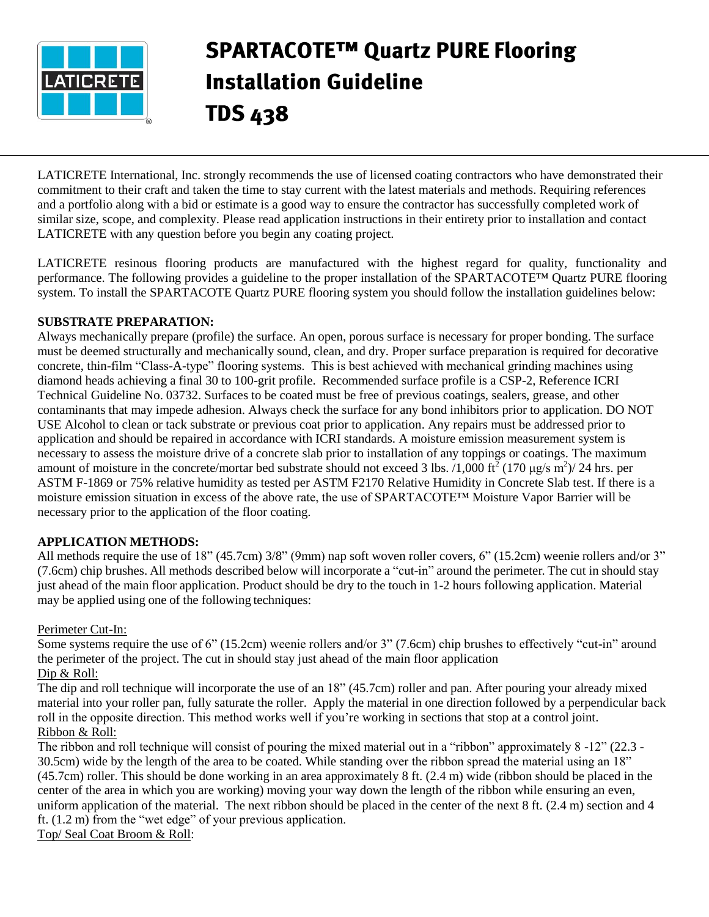

# **SPARTACOTE™ Quartz PURE Flooring Installation Guideline TDS 438**

LATICRETE International, Inc. strongly recommends the use of licensed coating contractors who have demonstrated their commitment to their craft and taken the time to stay current with the latest materials and methods. Requiring references and a portfolio along with a bid or estimate is a good way to ensure the contractor has successfully completed work of similar size, scope, and complexity. Please read application instructions in their entirety prior to installation and contact LATICRETE with any question before you begin any coating project.

LATICRETE resinous flooring products are manufactured with the highest regard for quality, functionality and performance. The following provides a guideline to the proper installation of the SPARTACOTE™ Quartz PURE flooring system. To install the SPARTACOTE Quartz PURE flooring system you should follow the installation guidelines below:

# **SUBSTRATE PREPARATION:**

Always mechanically prepare (profile) the surface. An open, porous surface is necessary for proper bonding. The surface must be deemed structurally and mechanically sound, clean, and dry. Proper surface preparation is required for decorative concrete, thin-film "Class-A-type" flooring systems. This is best achieved with mechanical grinding machines using diamond heads achieving a final 30 to 100-grit profile. Recommended surface profile is a CSP-2, Reference ICRI Technical Guideline No. 03732. Surfaces to be coated must be free of previous coatings, sealers, grease, and other contaminants that may impede adhesion. Always check the surface for any bond inhibitors prior to application. DO NOT USE Alcohol to clean or tack substrate or previous coat prior to application. Any repairs must be addressed prior to application and should be repaired in accordance with ICRI standards. A moisture emission measurement system is necessary to assess the moisture drive of a concrete slab prior to installation of any toppings or coatings. The maximum amount of moisture in the concrete/mortar bed substrate should not exceed 3 lbs. /1,000 ft<sup>2</sup> (170 µg/s m<sup>2</sup>)/ 24 hrs. per ASTM F-1869 or 75% relative humidity as tested per ASTM F2170 Relative Humidity in Concrete Slab test. If there is a moisture emission situation in excess of the above rate, the use of SPARTACOTE™ Moisture Vapor Barrier will be necessary prior to the application of the floor coating.

# **APPLICATION METHODS:**

All methods require the use of 18" (45.7cm) 3/8" (9mm) nap soft woven roller covers, 6" (15.2cm) weenie rollers and/or 3" (7.6cm) chip brushes. All methods described below will incorporate a "cut-in" around the perimeter. The cut in should stay just ahead of the main floor application. Product should be dry to the touch in 1-2 hours following application. Material may be applied using one of the following techniques:

# Perimeter Cut-In:

Some systems require the use of 6" (15.2cm) weenie rollers and/or 3" (7.6cm) chip brushes to effectively "cut-in" around the perimeter of the project. The cut in should stay just ahead of the main floor application Dip & Roll:

The dip and roll technique will incorporate the use of an 18" (45.7cm) roller and pan. After pouring your already mixed material into your roller pan, fully saturate the roller. Apply the material in one direction followed by a perpendicular back roll in the opposite direction. This method works well if you're working in sections that stop at a control joint. Ribbon & Roll:

The ribbon and roll technique will consist of pouring the mixed material out in a "ribbon" approximately 8 -12" (22.3 - 30.5cm) wide by the length of the area to be coated. While standing over the ribbon spread the material using an 18" (45.7cm) roller. This should be done working in an area approximately 8 ft. (2.4 m) wide (ribbon should be placed in the center of the area in which you are working) moving your way down the length of the ribbon while ensuring an even, uniform application of the material. The next ribbon should be placed in the center of the next 8 ft. (2.4 m) section and 4 ft. (1.2 m) from the "wet edge" of your previous application. Top/ Seal Coat Broom & Roll: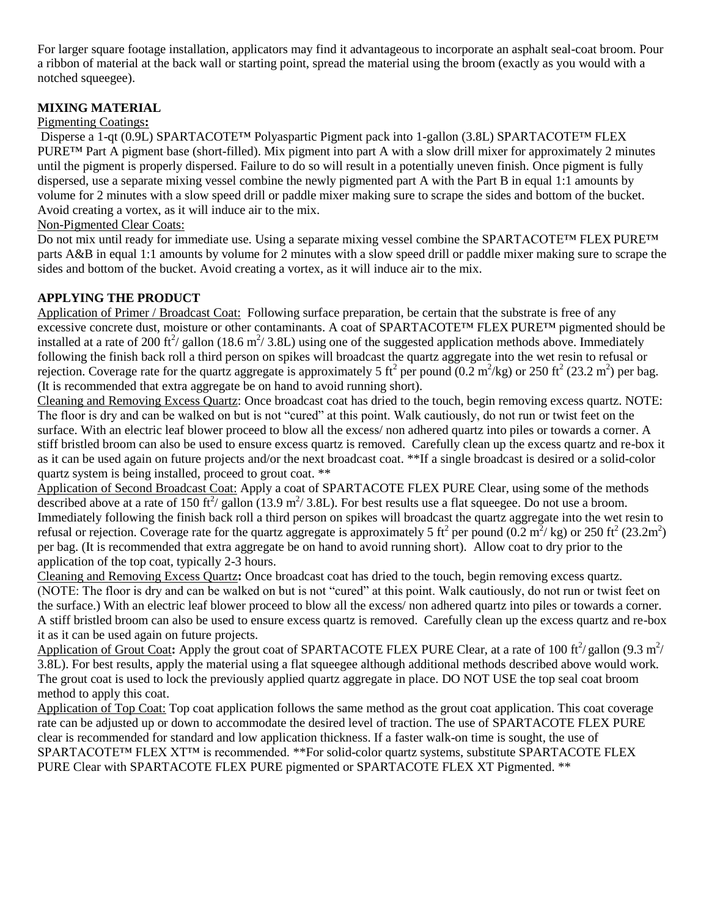For larger square footage installation, applicators may find it advantageous to incorporate an asphalt seal-coat broom. Pour a ribbon of material at the back wall or starting point, spread the material using the broom (exactly as you would with a notched squeegee).

# **MIXING MATERIAL**

### Pigmenting Coatings**:**

Disperse a 1-qt (0.9L) SPARTACOTE™ Polyaspartic Pigment pack into 1-gallon (3.8L) SPARTACOTE™ FLEX PURE™ Part A pigment base (short-filled). Mix pigment into part A with a slow drill mixer for approximately 2 minutes until the pigment is properly dispersed. Failure to do so will result in a potentially uneven finish. Once pigment is fully dispersed, use a separate mixing vessel combine the newly pigmented part A with the Part B in equal 1:1 amounts by volume for 2 minutes with a slow speed drill or paddle mixer making sure to scrape the sides and bottom of the bucket. Avoid creating a vortex, as it will induce air to the mix.

#### Non-Pigmented Clear Coats:

Do not mix until ready for immediate use. Using a separate mixing vessel combine the SPARTACOTE™ FLEX PURE™ parts A&B in equal 1:1 amounts by volume for 2 minutes with a slow speed drill or paddle mixer making sure to scrape the sides and bottom of the bucket. Avoid creating a vortex, as it will induce air to the mix.

# **APPLYING THE PRODUCT**

Application of Primer / Broadcast Coat: Following surface preparation, be certain that the substrate is free of any excessive concrete dust, moisture or other contaminants. A coat of SPARTACOTE™ FLEX PURE™ pigmented should be installed at a rate of 200 ft<sup>2</sup>/ gallon (18.6 m<sup>2</sup>/ 3.8L) using one of the suggested application methods above. Immediately following the finish back roll a third person on spikes will broadcast the quartz aggregate into the wet resin to refusal or rejection. Coverage rate for the quartz aggregate is approximately 5 ft<sup>2</sup> per pound  $(0.2 \text{ m}^2/\text{kg})$  or 250 ft<sup>2</sup> (23.2 m<sup>2</sup>) per bag. (It is recommended that extra aggregate be on hand to avoid running short).

Cleaning and Removing Excess Quartz: Once broadcast coat has dried to the touch, begin removing excess quartz. NOTE: The floor is dry and can be walked on but is not "cured" at this point. Walk cautiously, do not run or twist feet on the surface. With an electric leaf blower proceed to blow all the excess/ non adhered quartz into piles or towards a corner. A stiff bristled broom can also be used to ensure excess quartz is removed. Carefully clean up the excess quartz and re-box it as it can be used again on future projects and/or the next broadcast coat. \*\*If a single broadcast is desired or a solid-color quartz system is being installed, proceed to grout coat. \*\*

Application of Second Broadcast Coat: Apply a coat of SPARTACOTE FLEX PURE Clear, using some of the methods described above at a rate of 150 ft<sup>2</sup>/ gallon (13.9 m<sup>2</sup>/ 3.8L). For best results use a flat squeegee. Do not use a broom. Immediately following the finish back roll a third person on spikes will broadcast the quartz aggregate into the wet resin to refusal or rejection. Coverage rate for the quartz aggregate is approximately 5 ft<sup>2</sup> per pound (0.2 m<sup>2</sup>/kg) or 250 ft<sup>2</sup> (23.2m<sup>2</sup>) per bag. (It is recommended that extra aggregate be on hand to avoid running short). Allow coat to dry prior to the application of the top coat, typically 2-3 hours.

Cleaning and Removing Excess Quartz**:** Once broadcast coat has dried to the touch, begin removing excess quartz. (NOTE: The floor is dry and can be walked on but is not "cured" at this point. Walk cautiously, do not run or twist feet on the surface.) With an electric leaf blower proceed to blow all the excess/ non adhered quartz into piles or towards a corner. A stiff bristled broom can also be used to ensure excess quartz is removed. Carefully clean up the excess quartz and re-box it as it can be used again on future projects.

Application of Grout Coat: Apply the grout coat of SPARTACOTE FLEX PURE Clear, at a rate of 100  $\text{ft}^2/\text{gallon}$  (9.3 m<sup>2</sup>/ 3.8L). For best results, apply the material using a flat squeegee although additional methods described above would work. The grout coat is used to lock the previously applied quartz aggregate in place. DO NOT USE the top seal coat broom method to apply this coat.

Application of Top Coat: Top coat application follows the same method as the grout coat application. This coat coverage rate can be adjusted up or down to accommodate the desired level of traction. The use of SPARTACOTE FLEX PURE clear is recommended for standard and low application thickness. If a faster walk-on time is sought, the use of SPARTACOTE™ FLEX XT™ is recommended. \*\*For solid-color quartz systems, substitute SPARTACOTE FLEX PURE Clear with SPARTACOTE FLEX PURE pigmented or SPARTACOTE FLEX XT Pigmented. \*\*